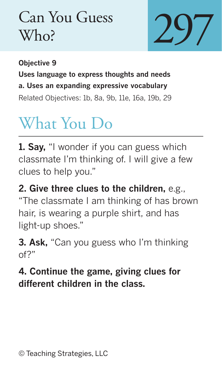## Can You Guess Who?



**Objective 9 Uses language to express thoughts and needs a. Uses an expanding expressive vocabulary** Related Objectives: 1b, 8a, 9b, 11e, 16a, 19b, 29

## What You Do

**1. Say,** "I wonder if you can guess which classmate I'm thinking of. I will give a few clues to help you."

**2. Give three clues to the children,** e.g., "The classmate I am thinking of has brown hair, is wearing a purple shirt, and has light-up shoes."

**3. Ask,** "Can you guess who I'm thinking of?"

## **4. Continue the game, giving clues for different children in the class.**